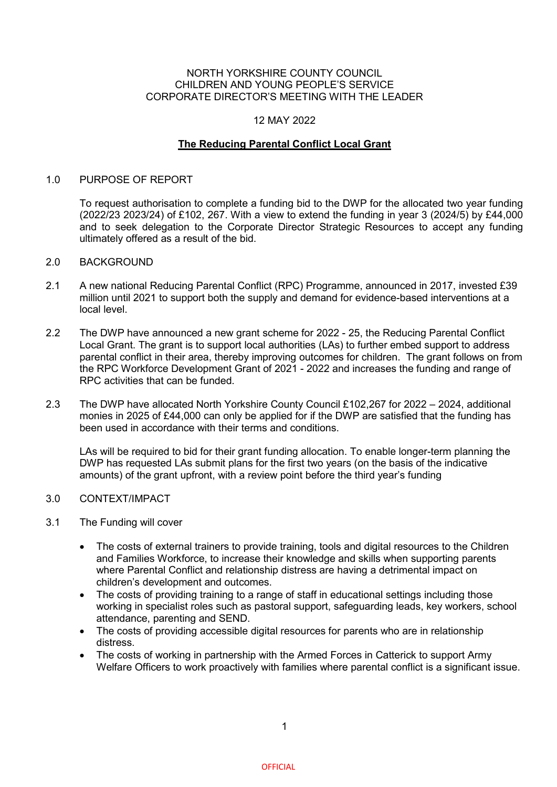## NORTH YORKSHIRE COUNTY COUNCIL CHILDREN AND YOUNG PEOPLE'S SERVICE CORPORATE DIRECTOR'S MEETING WITH THE LEADER

# 12 MAY 2022

## **The Reducing Parental Conflict Local Grant**

#### 1.0 PURPOSE OF REPORT

To request authorisation to complete a funding bid to the DWP for the allocated two year funding (2022/23 2023/24) of £102, 267. With a view to extend the funding in year 3 (2024/5) by £44,000 and to seek delegation to the Corporate Director Strategic Resources to accept any funding ultimately offered as a result of the bid.

#### 2.0 BACKGROUND

- 2.1 A new national Reducing Parental Conflict (RPC) Programme, announced in 2017, invested £39 million until 2021 to support both the supply and demand for evidence-based interventions at a local level.
- 2.2 The DWP have announced a new grant scheme for 2022 25, the Reducing Parental Conflict Local Grant. The grant is to support local authorities (LAs) to further embed support to address parental conflict in their area, thereby improving outcomes for children. The grant follows on from the RPC Workforce Development Grant of 2021 - 2022 and increases the funding and range of RPC activities that can be funded.
- 2.3 The DWP have allocated North Yorkshire County Council £102,267 for 2022 2024, additional monies in 2025 of £44,000 can only be applied for if the DWP are satisfied that the funding has been used in accordance with their terms and conditions.

LAs will be required to bid for their grant funding allocation. To enable longer-term planning the DWP has requested LAs submit plans for the first two years (on the basis of the indicative amounts) of the grant upfront, with a review point before the third year's funding

## 3.0 CONTEXT/IMPACT

#### 3.1 The Funding will cover

- The costs of external trainers to provide training, tools and digital resources to the Children and Families Workforce, to increase their knowledge and skills when supporting parents where Parental Conflict and relationship distress are having a detrimental impact on children's development and outcomes.
- The costs of providing training to a range of staff in educational settings including those working in specialist roles such as pastoral support, safeguarding leads, key workers, school attendance, parenting and SEND.
- The costs of providing accessible digital resources for parents who are in relationship distress.
- The costs of working in partnership with the Armed Forces in Catterick to support Army Welfare Officers to work proactively with families where parental conflict is a significant issue.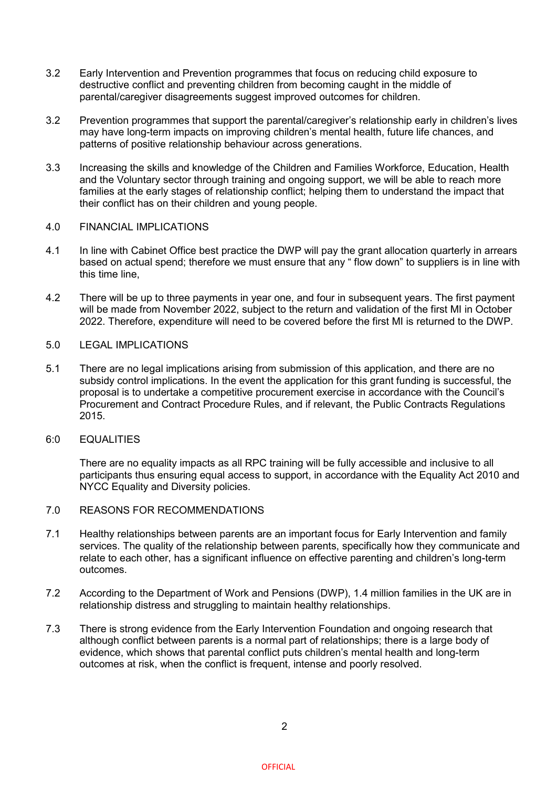- 3.2 Early Intervention and Prevention programmes that focus on reducing child exposure to destructive conflict and preventing children from becoming caught in the middle of parental/caregiver disagreements suggest improved outcomes for children.
- 3.2 Prevention programmes that support the parental/caregiver's relationship early in children's lives may have long-term impacts on improving children's mental health, future life chances, and patterns of positive relationship behaviour across generations.
- 3.3 Increasing the skills and knowledge of the Children and Families Workforce, Education, Health and the Voluntary sector through training and ongoing support, we will be able to reach more families at the early stages of relationship conflict; helping them to understand the impact that their conflict has on their children and young people.

## 4.0 FINANCIAL IMPLICATIONS

- 4.1 In line with Cabinet Office best practice the DWP will pay the grant allocation quarterly in arrears based on actual spend: therefore we must ensure that any " flow down" to suppliers is in line with this time line,
- 4.2 There will be up to three payments in year one, and four in subsequent years. The first payment will be made from November 2022, subject to the return and validation of the first MI in October 2022. Therefore, expenditure will need to be covered before the first MI is returned to the DWP.
- 5.0 LEGAL IMPLICATIONS
- 5.1 There are no legal implications arising from submission of this application, and there are no subsidy control implications. In the event the application for this grant funding is successful, the proposal is to undertake a competitive procurement exercise in accordance with the Council's Procurement and Contract Procedure Rules, and if relevant, the Public Contracts Regulations 2015.
- 6:0 EQUALITIES

There are no equality impacts as all RPC training will be fully accessible and inclusive to all participants thus ensuring equal access to support, in accordance with the Equality Act 2010 and NYCC Equality and Diversity policies.

- 7.0 REASONS FOR RECOMMENDATIONS
- 7.1 Healthy relationships between parents are an important focus for Early Intervention and family services. The quality of the relationship between parents, specifically how they communicate and relate to each other, has a significant influence on effective parenting and children's long-term outcomes.
- 7.2 According to the Department of Work and Pensions (DWP), 1.4 million families in the UK are in relationship distress and struggling to maintain healthy relationships.
- 7.3 There is strong evidence from the Early Intervention Foundation and ongoing research that although conflict between parents is a normal part of relationships; there is a large body of evidence, which shows that parental conflict puts children's mental health and long-term outcomes at risk, when the conflict is frequent, intense and poorly resolved.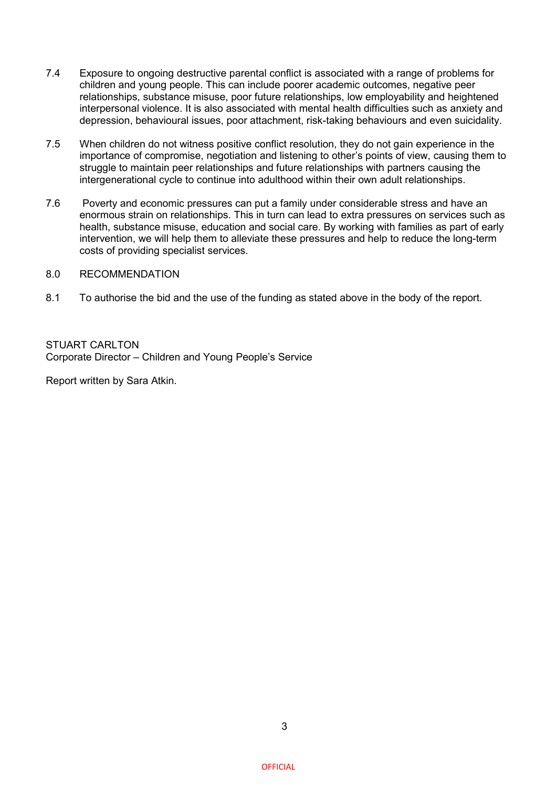- 7.4 Exposure to ongoing destructive parental conflict is associated with a range of problems for children and young people. This can include poorer academic outcomes, negative peer relationships, substance misuse, poor future relationships, low employability and heightened interpersonal violence. It is also associated with mental health difficulties such as anxiety and depression, behavioural issues, poor attachment, risk-taking behaviours and even suicidality.
- 7.5 When children do not witness positive conflict resolution, they do not gain experience in the importance of compromise, negotiation and listening to other's points of view, causing them to struggle to maintain peer relationships and future relationships with partners causing the intergenerational cycle to continue into adulthood within their own adult relationships.
- 7.6 Poverty and economic pressures can put a family under considerable stress and have an enormous strain on relationships. This in turn can lead to extra pressures on services such as health, substance misuse, education and social care. By working with families as part of early intervention, we will help them to alleviate these pressures and help to reduce the long-term costs of providing specialist services.

## 8.0 RECOMMENDATION

8.1 To authorise the bid and the use of the funding as stated above in the body of the report.

STUART CARLTON Corporate Director – Children and Young People's Service

Report written by Sara Atkin.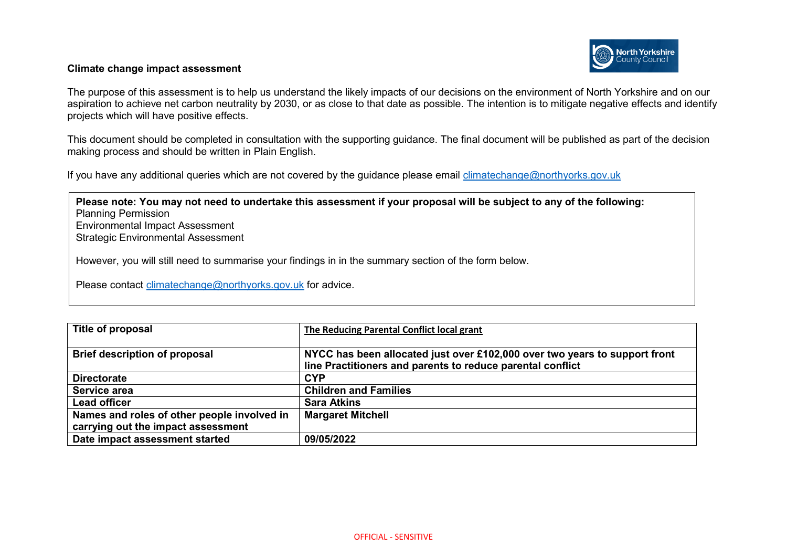#### **Climate change impact assessment**

The purpose of this assessment is to help us understand the likely impacts of our decisions on the environment of North Yorkshire and on our aspiration to achieve net carbon neutrality by 2030, or as close to that date as possible. The intention is to mitigate negative effects and identify projects which will have positive effects.

This document should be completed in consultation with the supporting guidance. The final document will be published as part of the decision making process and should be written in Plain English.

If you have any additional queries which are not covered by the guidance please email climatechange@northyorks.gov.uk

**Please note: You may not need to undertake this assessment if your proposal will be subject to any of the following:**  Planning Permission Environmental Impact Assessment Strategic Environmental Assessment

However, you will still need to summarise your findings in in the summary section of the form below.

Please contact [climatechange@northyorks.gov.uk](mailto:climatechange@northyorks.gov.uk) for advice.

| Title of proposal                           | The Reducing Parental Conflict local grant                                                                                               |
|---------------------------------------------|------------------------------------------------------------------------------------------------------------------------------------------|
| <b>Brief description of proposal</b>        | NYCC has been allocated just over £102,000 over two years to support front<br>line Practitioners and parents to reduce parental conflict |
| <b>Directorate</b>                          | <b>CYP</b>                                                                                                                               |
| Service area                                | <b>Children and Families</b>                                                                                                             |
| <b>Lead officer</b>                         | <b>Sara Atkins</b>                                                                                                                       |
| Names and roles of other people involved in | <b>Margaret Mitchell</b>                                                                                                                 |
| carrying out the impact assessment          |                                                                                                                                          |
| Date impact assessment started              | 09/05/2022                                                                                                                               |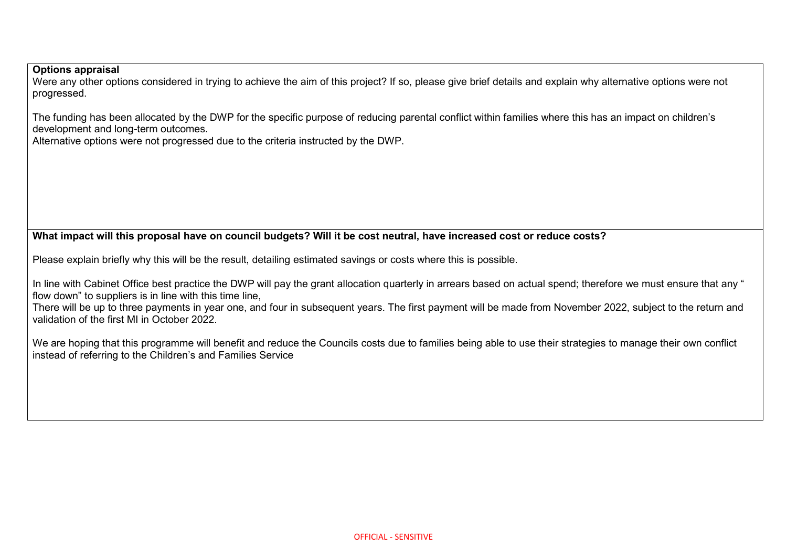# **Options appraisal**

Were any other options considered in trying to achieve the aim of this project? If so, please give brief details and explain why alternative options were not progressed.

The funding has been allocated by the DWP for the specific purpose of reducing parental conflict within families where this has an impact on children's development and long-term outcomes.

Alternative options were not progressed due to the criteria instructed by the DWP.

# **What impact will this proposal have on council budgets? Will it be cost neutral, have increased cost or reduce costs?**

Please explain briefly why this will be the result, detailing estimated savings or costs where this is possible.

In line with Cabinet Office best practice the DWP will pay the grant allocation quarterly in arrears based on actual spend; therefore we must ensure that any " flow down" to suppliers is in line with this time line.

There will be up to three payments in year one, and four in subsequent years. The first payment will be made from November 2022, subject to the return and validation of the first MI in October 2022.

We are hoping that this programme will benefit and reduce the Councils costs due to families being able to use their strategies to manage their own conflict instead of referring to the Children's and Families Service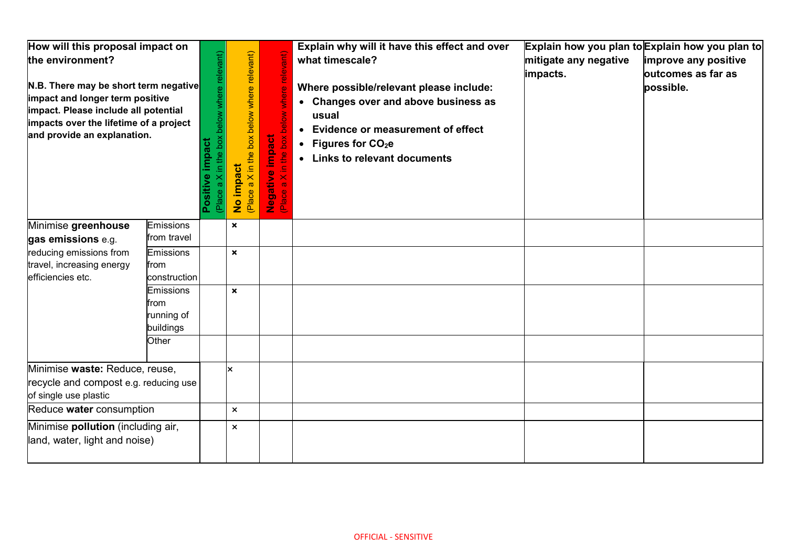| How will this proposal impact on<br>the environment?<br>N.B. There may be short term negative<br>impact and longer term positive<br>impact. Please include all potential<br>impacts over the lifetime of a project<br>and provide an explanation. |                                              | below where relevant<br>Xoq<br>Positive impact<br>Le<br>e <sub>ld</sub> | (Place a X in the box below where relevant)<br>No impact | impact<br>$\bullet$<br>Negative<br>Place a X | Explain why will it have this effect and over<br>what timescale?<br>Where possible/relevant please include:<br>• Changes over and above business as<br>usual<br><b>Evidence or measurement of effect</b><br>$\bullet$<br>• Figures for $CO2e$<br>• Links to relevant documents | mitigate any negative<br>impacts. | Explain how you plan to Explain how you plan to<br>improve any positive<br>outcomes as far as<br>possible. |
|---------------------------------------------------------------------------------------------------------------------------------------------------------------------------------------------------------------------------------------------------|----------------------------------------------|-------------------------------------------------------------------------|----------------------------------------------------------|----------------------------------------------|--------------------------------------------------------------------------------------------------------------------------------------------------------------------------------------------------------------------------------------------------------------------------------|-----------------------------------|------------------------------------------------------------------------------------------------------------|
| Minimise greenhouse<br>gas emissions e.g.                                                                                                                                                                                                         | Emissions<br>from travel                     |                                                                         | $\boldsymbol{\mathsf{x}}$                                |                                              |                                                                                                                                                                                                                                                                                |                                   |                                                                                                            |
| reducing emissions from<br>travel, increasing energy<br>efficiencies etc.                                                                                                                                                                         | Emissions<br>from<br>construction            |                                                                         | $\boldsymbol{\mathsf{x}}$                                |                                              |                                                                                                                                                                                                                                                                                |                                   |                                                                                                            |
|                                                                                                                                                                                                                                                   | Emissions<br>from<br>running of<br>buildings |                                                                         | $\boldsymbol{\mathsf{x}}$                                |                                              |                                                                                                                                                                                                                                                                                |                                   |                                                                                                            |
|                                                                                                                                                                                                                                                   | Other                                        |                                                                         |                                                          |                                              |                                                                                                                                                                                                                                                                                |                                   |                                                                                                            |
| Minimise waste: Reduce, reuse,<br>recycle and compost e.g. reducing use<br>of single use plastic                                                                                                                                                  |                                              |                                                                         | lx.                                                      |                                              |                                                                                                                                                                                                                                                                                |                                   |                                                                                                            |
| Reduce water consumption                                                                                                                                                                                                                          |                                              |                                                                         | $\mathsf{x}$                                             |                                              |                                                                                                                                                                                                                                                                                |                                   |                                                                                                            |
| Minimise pollution (including air,<br>land, water, light and noise)                                                                                                                                                                               |                                              |                                                                         | $\mathsf{x}$                                             |                                              |                                                                                                                                                                                                                                                                                |                                   |                                                                                                            |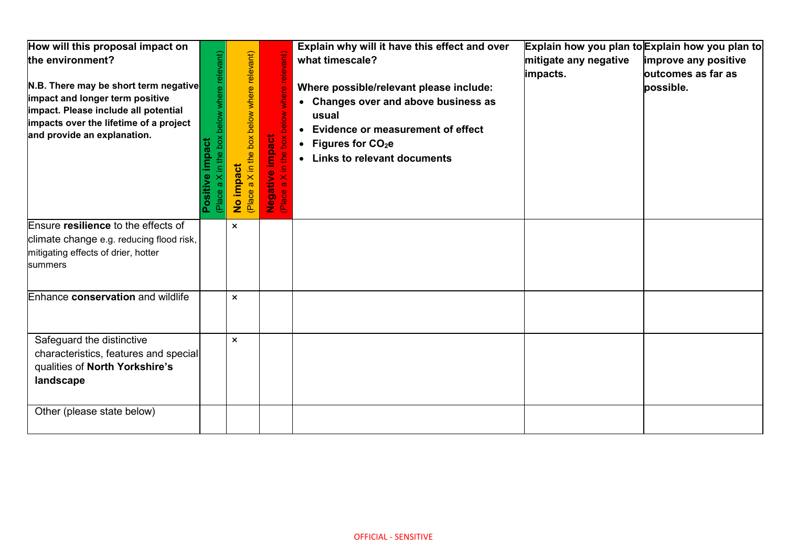| How will this proposal impact on<br>the environment?<br>N.B. There may be short term negative<br>impact and longer term positive<br>impact. Please include all potential<br>impacts over the lifetime of a project<br>and provide an explanation. | yant<br>impact<br>Positive<br>ᇟ | X in the box below where relevant)<br>act<br>No imp<br>(Place a) | impact<br>$\overline{S}$<br>in the<br>Negative<br>Place a X in | Explain why will it have this effect and over<br>what timescale?<br>Where possible/relevant please include:<br>• Changes over and above business as<br>usual<br>• Evidence or measurement of effect<br>• Figures for $CO2e$<br>• Links to relevant documents | mitigate any negative<br>impacts. | Explain how you plan to Explain how you plan to<br>improve any positive<br>butcomes as far as<br>possible. |
|---------------------------------------------------------------------------------------------------------------------------------------------------------------------------------------------------------------------------------------------------|---------------------------------|------------------------------------------------------------------|----------------------------------------------------------------|--------------------------------------------------------------------------------------------------------------------------------------------------------------------------------------------------------------------------------------------------------------|-----------------------------------|------------------------------------------------------------------------------------------------------------|
| Ensure resilience to the effects of<br>climate change e.g. reducing flood risk,<br>mitigating effects of drier, hotter<br>summers                                                                                                                 |                                 | $\mathsf{x}$                                                     |                                                                |                                                                                                                                                                                                                                                              |                                   |                                                                                                            |
| Enhance conservation and wildlife                                                                                                                                                                                                                 |                                 | $\boldsymbol{\mathsf{x}}$                                        |                                                                |                                                                                                                                                                                                                                                              |                                   |                                                                                                            |
| Safeguard the distinctive<br>characteristics, features and special<br>qualities of North Yorkshire's<br>landscape                                                                                                                                 |                                 | $\boldsymbol{\mathsf{x}}$                                        |                                                                |                                                                                                                                                                                                                                                              |                                   |                                                                                                            |
| Other (please state below)                                                                                                                                                                                                                        |                                 |                                                                  |                                                                |                                                                                                                                                                                                                                                              |                                   |                                                                                                            |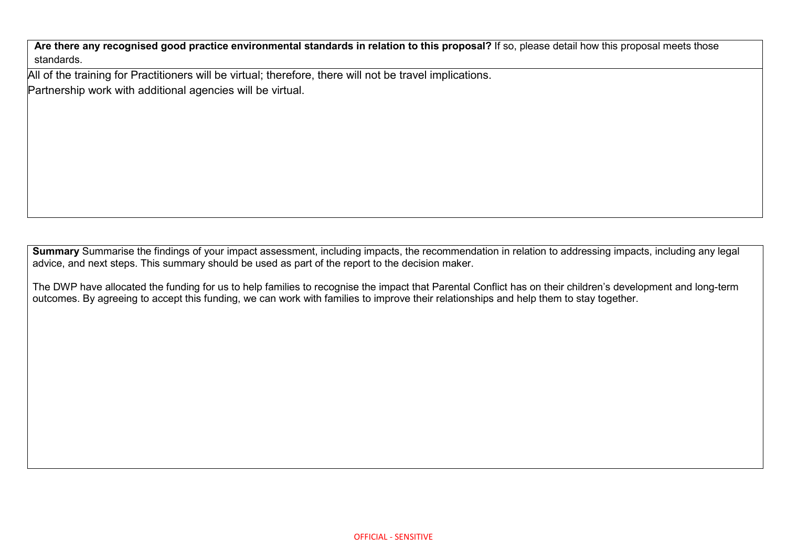**Are there any recognised good practice environmental standards in relation to this proposal?** If so, please detail how this proposal meets those standards.

All of the training for Practitioners will be virtual; therefore, there will not be travel implications. Partnership work with additional agencies will be virtual.

**Summary** Summarise the findings of your impact assessment, including impacts, the recommendation in relation to addressing impacts, including any legal advice, and next steps. This summary should be used as part of the report to the decision maker.

The DWP have allocated the funding for us to help families to recognise the impact that Parental Conflict has on their children's development and long-term outcomes. By agreeing to accept this funding, we can work with families to improve their relationships and help them to stay together.